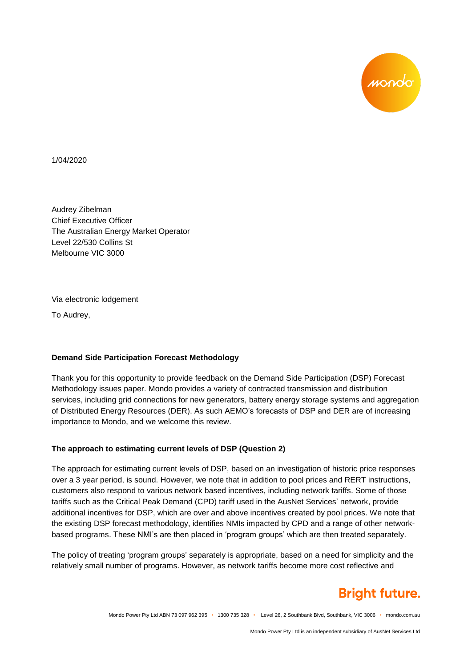

1/04/2020

Audrey Zibelman Chief Executive Officer The Australian Energy Market Operator Level 22/530 Collins St Melbourne VIC 3000

Via electronic lodgement

To Audrey,

## **Demand Side Participation Forecast Methodology**

Thank you for this opportunity to provide feedback on the Demand Side Participation (DSP) Forecast Methodology issues paper. Mondo provides a variety of contracted transmission and distribution services, including grid connections for new generators, battery energy storage systems and aggregation of Distributed Energy Resources (DER). As such AEMO's forecasts of DSP and DER are of increasing importance to Mondo, and we welcome this review.

## **The approach to estimating current levels of DSP (Question 2)**

The approach for estimating current levels of DSP, based on an investigation of historic price responses over a 3 year period, is sound. However, we note that in addition to pool prices and RERT instructions, customers also respond to various network based incentives, including network tariffs. Some of those tariffs such as the Critical Peak Demand (CPD) tariff used in the AusNet Services' network, provide additional incentives for DSP, which are over and above incentives created by pool prices. We note that the existing DSP forecast methodology, identifies NMIs impacted by CPD and a range of other networkbased programs. These NMI's are then placed in 'program groups' which are then treated separately.

The policy of treating 'program groups' separately is appropriate, based on a need for simplicity and the relatively small number of programs. However, as network tariffs become more cost reflective and

# **Bright future.**

Mondo Power Pty Ltd ABN 73 097 962 395 • 1300 735 328 • Level 26, 2 Southbank Blvd, Southbank, VIC 3006 • mondo.com.au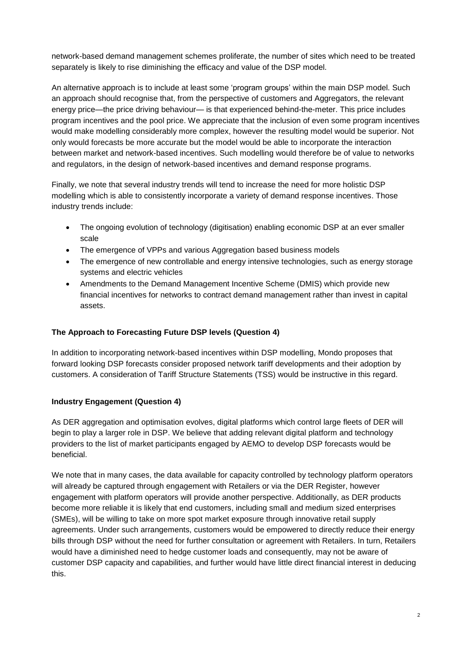network-based demand management schemes proliferate, the number of sites which need to be treated separately is likely to rise diminishing the efficacy and value of the DSP model.

An alternative approach is to include at least some 'program groups' within the main DSP model. Such an approach should recognise that, from the perspective of customers and Aggregators, the relevant energy price—the price driving behaviour— is that experienced behind-the-meter. This price includes program incentives and the pool price. We appreciate that the inclusion of even some program incentives would make modelling considerably more complex, however the resulting model would be superior. Not only would forecasts be more accurate but the model would be able to incorporate the interaction between market and network-based incentives. Such modelling would therefore be of value to networks and regulators, in the design of network-based incentives and demand response programs.

Finally, we note that several industry trends will tend to increase the need for more holistic DSP modelling which is able to consistently incorporate a variety of demand response incentives. Those industry trends include:

- The ongoing evolution of technology (digitisation) enabling economic DSP at an ever smaller scale
- The emergence of VPPs and various Aggregation based business models
- The emergence of new controllable and energy intensive technologies, such as energy storage systems and electric vehicles
- Amendments to the Demand Management Incentive Scheme (DMIS) which provide new financial incentives for networks to contract demand management rather than invest in capital assets.

# **The Approach to Forecasting Future DSP levels (Question 4)**

In addition to incorporating network-based incentives within DSP modelling, Mondo proposes that forward looking DSP forecasts consider proposed network tariff developments and their adoption by customers. A consideration of Tariff Structure Statements (TSS) would be instructive in this regard.

## **Industry Engagement (Question 4)**

As DER aggregation and optimisation evolves, digital platforms which control large fleets of DER will begin to play a larger role in DSP. We believe that adding relevant digital platform and technology providers to the list of market participants engaged by AEMO to develop DSP forecasts would be beneficial.

We note that in many cases, the data available for capacity controlled by technology platform operators will already be captured through engagement with Retailers or via the DER Register, however engagement with platform operators will provide another perspective. Additionally, as DER products become more reliable it is likely that end customers, including small and medium sized enterprises (SMEs), will be willing to take on more spot market exposure through innovative retail supply agreements. Under such arrangements, customers would be empowered to directly reduce their energy bills through DSP without the need for further consultation or agreement with Retailers. In turn, Retailers would have a diminished need to hedge customer loads and consequently, may not be aware of customer DSP capacity and capabilities, and further would have little direct financial interest in deducing this.